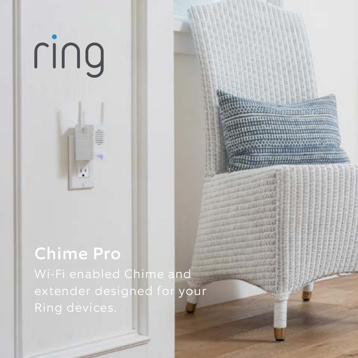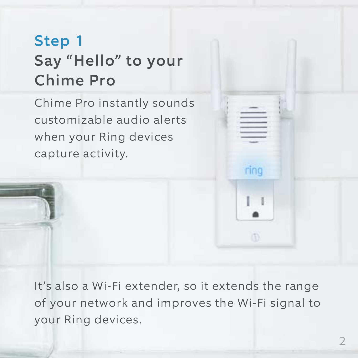#### Step 1 Say "Hello" to your Chime Pro

Chime Pro instantly sounds customizable audio alerts when your Ring devices capture activity.

It's also a Wi-Fi extender, so it extends the range of your network and improves the Wi-Fi signal to your Ring devices.

rino

m.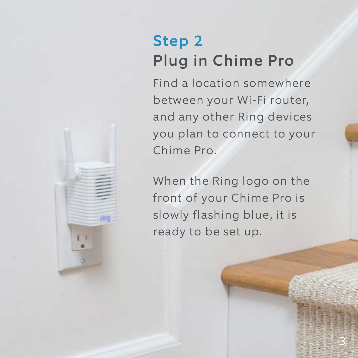#### Step 2 Plug in Chime Pro

Find a location somewhere between your Wi-Fi router, and any other Ring devices you plan to connect to your Chime Pro.

When the Ring logo on the front of your Chime Pro is slowly flashing blue, it is ready to be set up.

2 3

**Ring**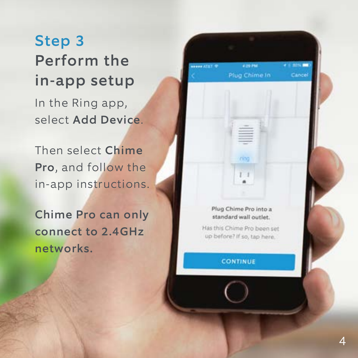Step 3 Perform the in-app setup In the Ring app, select Add Device.

Then select Chime Pro, and follow the in-app instructions.

Chime Pro can only connect to 2.4GHz networks.

Plug Chime Pro into a standard wall outlet.

 $1 - 1$ 

a no mar

Cancel

**HELE ATET 9** 

Has this Chima Pro been set up before? If so, tap here.

**CONTINUE**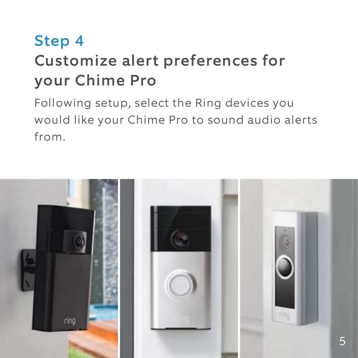#### Step 4 Customize alert preferences for your Chime Pro

Following setup, select the Ring devices you would like your Chime Pro to sound audio alerts from.

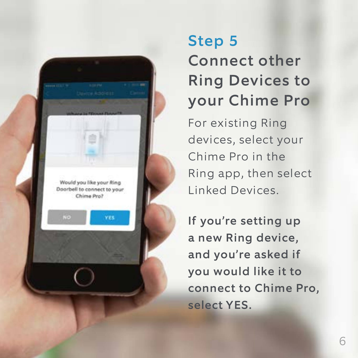

## Step 5 Connect other Ring Devices to your Chime Pro

For existing Ring devices, select your Chime Pro in the Ring app, then select Linked Devices.

If you're setting up a new Ring device, and you're asked if you would like it to connect to Chime Pro, select YES.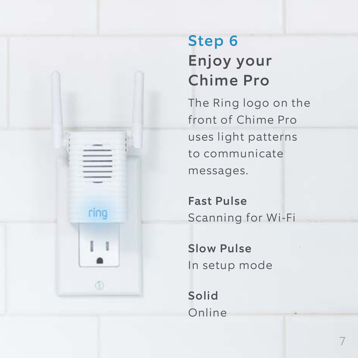## Step 6 Enjoy your Chime Pro

The Ring logo on the front of Chime Pro uses light patterns to communicate messages.

Fast Pulse Scanning for Wi-Fi

Slow Pulse In setup mode

Solid Online

ring

 $\mathbf{I}$ 

(ii)